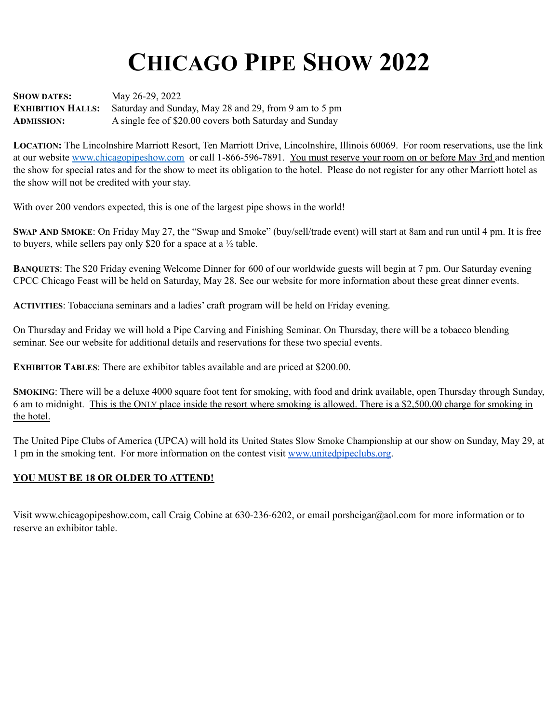## **CHICAGO PIPE SHOW 2022**

**SHOW DATES:** May 26-29, 2022 **EXHIBITION HALLS:** Saturday and Sunday, May 28 and 29, from 9 am to 5 pm **ADMISSION:** A single fee of \$20.00 covers both Saturday and Sunday

**LOCATION:** The Lincolnshire Marriott Resort, Ten Marriott Drive, Lincolnshire, Illinois 60069. For room reservations, use the link at our website [www.chicagopipeshow.com](http://www.chicagopipeshow.com) or call 1-866-596-7891. You must reserve your room on or before May 3rd and mention the show for special rates and for the show to meet its obligation to the hotel. Please do not register for any other Marriott hotel as the show will not be credited with your stay.

With over 200 vendors expected, this is one of the largest pipe shows in the world!

**SWAP AND SMOKE**: On Friday May 27, the "Swap and Smoke" (buy/sell/trade event) will start at 8am and run until 4 pm. It is free to buyers, while sellers pay only \$20 for a space at a ½ table.

**BANQUETS**: The \$20 Friday evening Welcome Dinner for 600 of our worldwide guests will begin at 7 pm. Our Saturday evening CPCC Chicago Feast will be held on Saturday, May 28. See our website for more information about these great dinner events.

**ACTIVITIES**: Tobacciana seminars and a ladies' craft program will be held on Friday evening.

On Thursday and Friday we will hold a Pipe Carving and Finishing Seminar. On Thursday, there will be a tobacco blending seminar. See our website for additional details and reservations for these two special events.

**EXHIBITOR TABLES**: There are exhibitor tables available and are priced at \$200.00.

**SMOKING**: There will be a deluxe 4000 square foot tent for smoking, with food and drink available, open Thursday through Sunday, 6 am to midnight. This is the ONLY place inside the resort where smoking is allowed. There is a \$2,500.00 charge for smoking in the hotel.

The United Pipe Clubs of America (UPCA) will hold its United States Slow Smoke Championship at our show on Sunday, May 29, at 1 pm in the smoking tent. For more information on the contest visit [www.unitedpipeclubs.org](http://www.unitedpipeclubs.org).

## **YOU MUST BE 18 OR OLDER TO ATTEND!**

Visit www.chicagopipeshow.com, call Craig Cobine at 630-236-6202, or email porshcigar@aol.com for more information or to reserve an exhibitor table.